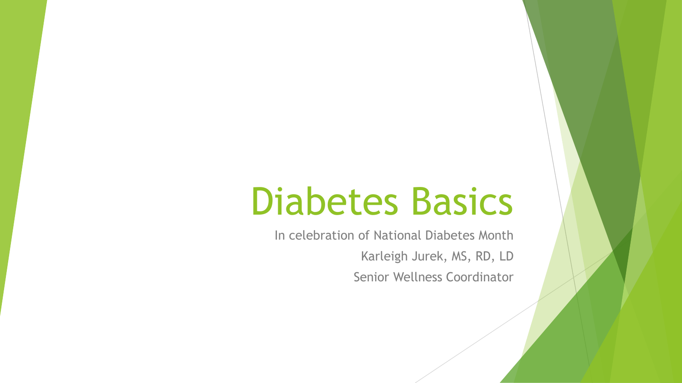# Diabetes Basics

In celebration of National Diabetes Month Karleigh Jurek, MS, RD, LD Senior Wellness Coordinator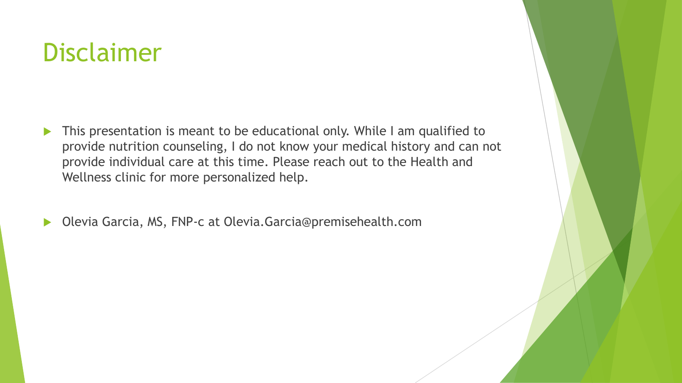#### Disclaimer

- This presentation is meant to be educational only. While I am qualified to provide nutrition counseling, I do not know your medical history and can not provide individual care at this time. Please reach out to the Health and Wellness clinic for more personalized help.
- ▶ Olevia Garcia, MS, FNP-c at Olevia.Garcia@premisehealth.com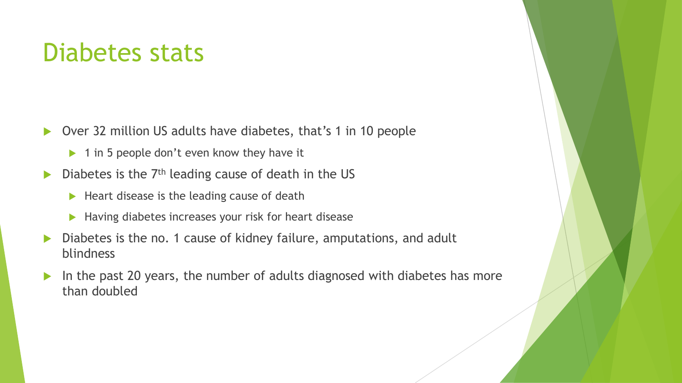#### Diabetes stats

- ▶ Over 32 million US adults have diabetes, that's 1 in 10 people
	- $\triangleright$  1 in 5 people don't even know they have it
- $\triangleright$  Diabetes is the 7<sup>th</sup> leading cause of death in the US
	- $\blacktriangleright$  Heart disease is the leading cause of death
	- ▶ Having diabetes increases your risk for heart disease
- Diabetes is the no. 1 cause of kidney failure, amputations, and adult blindness
- In the past 20 years, the number of adults diagnosed with diabetes has more than doubled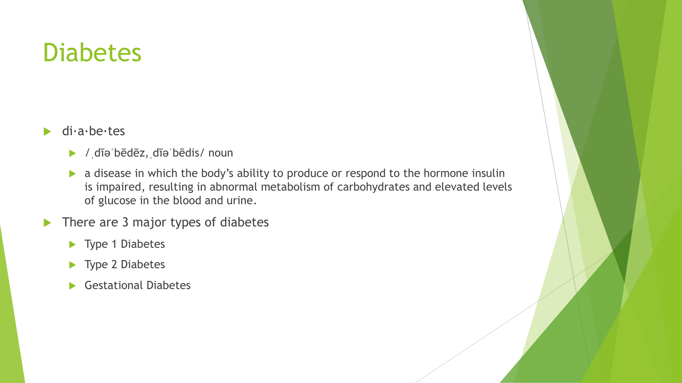#### **Diabetes**

- $\blacktriangleright$  di $\cdot$ a $\cdot$ be $\cdot$ tes
	- /ˌdīəˈbēdēz,ˌdīəˈbēdis/ noun
	- **a** disease in which the body's ability to produce or respond to the hormone insulin is impaired, resulting in abnormal metabolism of carbohydrates and elevated levels of glucose in the blood and urine.
- $\blacktriangleright$  There are 3 major types of diabetes
	- ▶ Type 1 Diabetes
	- ▶ Type 2 Diabetes
	- Gestational Diabetes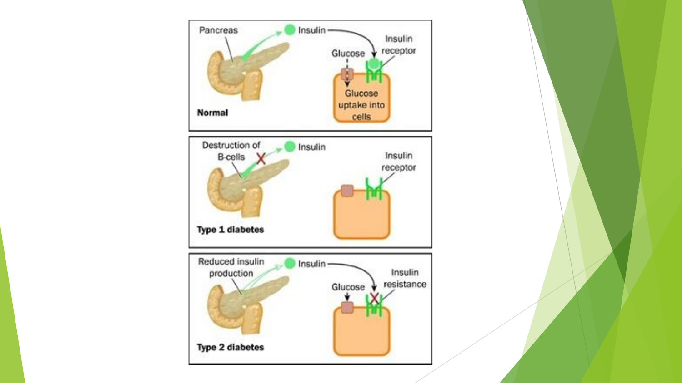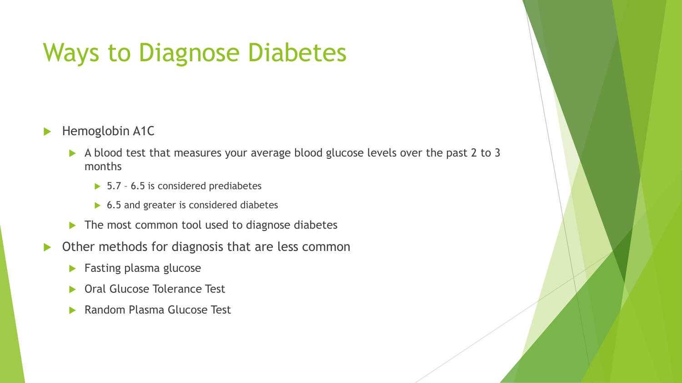### Ways to Diagnose Diabetes

#### Hemoglobin A1C

- A blood test that measures your average blood glucose levels over the past 2 to 3 months
	- ▶ 5.7 6.5 is considered prediabetes
	- ▶ 6.5 and greater is considered diabetes
- $\blacktriangleright$  The most common tool used to diagnose diabetes
- ▶ Other methods for diagnosis that are less common
	- **Fasting plasma glucose**
	- **Dral Glucose Tolerance Test**
	- ▶ Random Plasma Glucose Test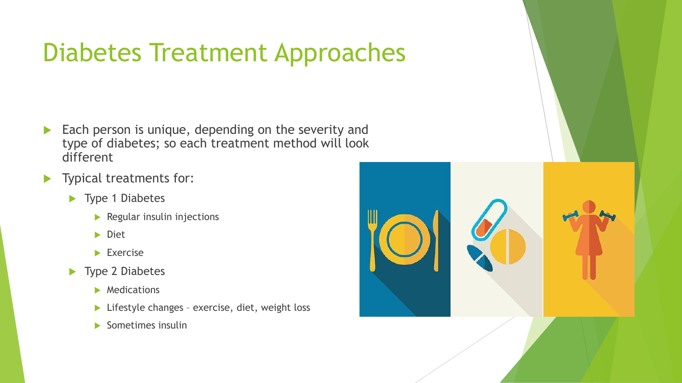# Diabetes Treatment Approaches

- Each person is unique, depending on the severity and type of diabetes; so each treatment method will look different
- **Typical treatments for:** 
	- ▶ Type 1 Diabetes
		- $\blacktriangleright$  Regular insulin injections
		- Diet
		- $\blacktriangleright$  Exercise
	- ▶ Type 2 Diabetes
		- **Medications**
		- ▶ Lifestyle changes exercise, diet, weight loss
		- Sometimes insulin

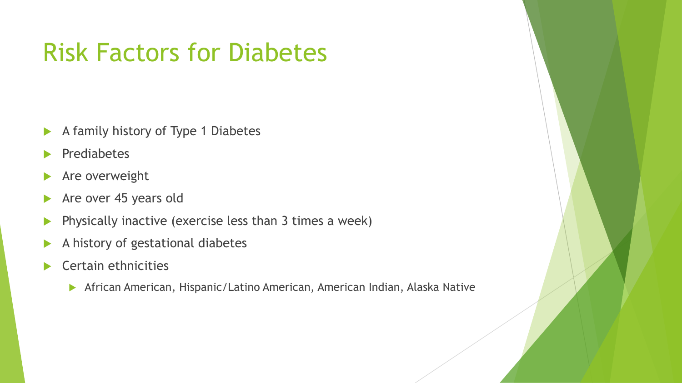## Risk Factors for Diabetes

- $\blacktriangleright$  A family history of Type 1 Diabetes
- **Prediabetes**
- Are overweight
- Are over 45 years old
- Physically inactive (exercise less than 3 times a week)
- A history of gestational diabetes
- Certain ethnicities
	- African American, Hispanic/Latino American, American Indian, Alaska Native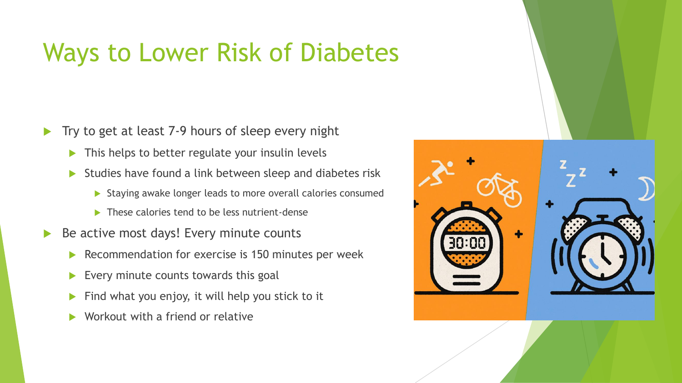## Ways to Lower Risk of Diabetes

- Try to get at least 7-9 hours of sleep every night
	- $\blacktriangleright$  This helps to better regulate your insulin levels
	- Studies have found a link between sleep and diabetes risk
		- $\triangleright$  Staying awake longer leads to more overall calories consumed
		- $\blacktriangleright$  These calories tend to be less nutrient-dense
- Be active most days! Every minute counts
	- Recommendation for exercise is 150 minutes per week
	- $\blacktriangleright$  Every minute counts towards this goal
	- $\blacktriangleright$  Find what you enjoy, it will help you stick to it
	- Workout with a friend or relative

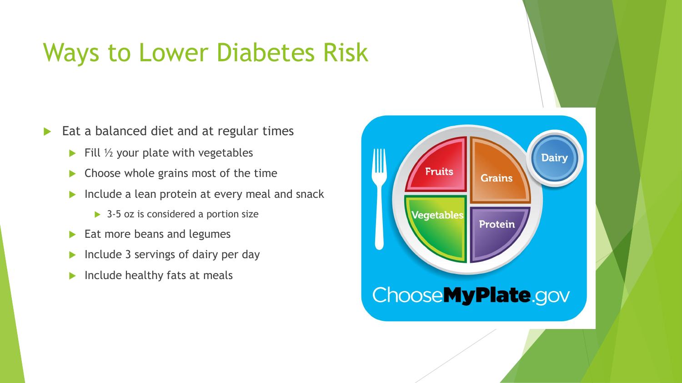#### Ways to Lower Diabetes Risk

- Eat a balanced diet and at regular times
	- $\blacktriangleright$  Fill  $\frac{1}{2}$  your plate with vegetables
	- $\triangleright$  Choose whole grains most of the time
	- $\blacktriangleright$  Include a lean protein at every meal and snack
		- ▶ 3-5 oz is considered a portion size
	- $\blacktriangleright$  Eat more beans and legumes
	- $\blacktriangleright$  Include 3 servings of dairy per day
	- $\blacktriangleright$  Include healthy fats at meals

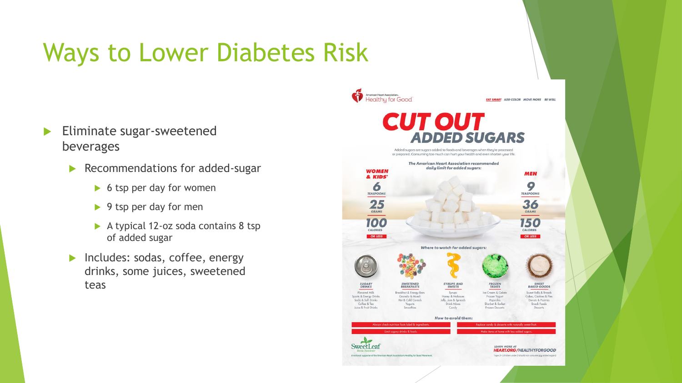# Ways to Lower Diabetes Risk

- Eliminate sugar-sweetened beverages
	- Recommendations for added-sugar
		- $\triangleright$  6 tsp per day for women
		- $\blacktriangleright$  9 tsp per day for men
		- ▶ A typical 12-oz soda contains 8 tsp of added sugar
	- Includes: sodas, coffee, energy drinks, some juices, sweetened teas

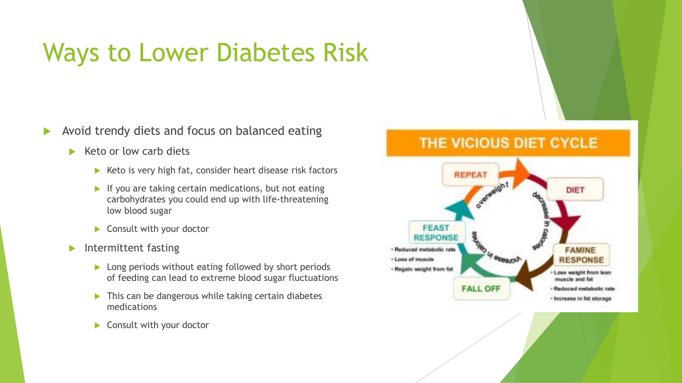# Ways to Lower Diabetes Risk

Avoid trendy diets and focus on balanced eating

- $\blacktriangleright$  Keto or low carb diets
	- $\blacktriangleright$  Keto is very high fat, consider heart disease risk factors
	- $\blacktriangleright$  If you are taking certain medications, but not eating carbohydrates you could end up with life-threatening low blood sugar
	- ▶ Consult with your doctor
- $\blacktriangleright$  Intermittent fasting
	- **Long periods without eating followed by short periods** of feeding can lead to extreme blood sugar fluctuations
	- $\triangleright$  This can be dangerous while taking certain diabetes medications
	- Consult with your doctor

#### THE VICIOUS DIET CYCLE